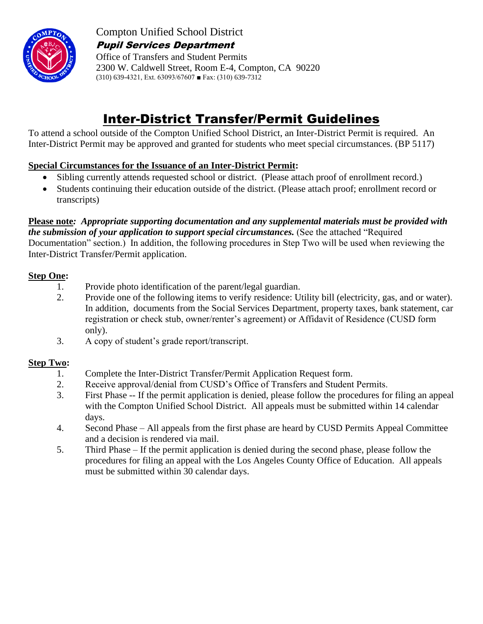

Compton Unified School District Pupil Services Department

Office of Transfers and Student Permits 2300 W. Caldwell Street, Room E-4, Compton, CA 90220 (310) 639-4321, Ext. 63093/67607 ■ Fax: (310) 639-7312

# Inter-District Transfer/Permit Guidelines

To attend a school outside of the Compton Unified School District, an Inter-District Permit is required. An Inter-District Permit may be approved and granted for students who meet special circumstances. (BP 5117)

## **Special Circumstances for the Issuance of an Inter-District Permit:**

- Sibling currently attends requested school or district. (Please attach proof of enrollment record.)
- Students continuing their education outside of the district. (Please attach proof; enrollment record or transcripts)

**Please note***: Appropriate supporting documentation and any supplemental materials must be provided with the submission of your application to support special circumstances.* (See the attached "Required Documentation" section.) In addition, the following procedures in Step Two will be used when reviewing the Inter-District Transfer/Permit application.

## **Step One:**

- 1. Provide photo identification of the parent/legal guardian.
- 2. Provide one of the following items to verify residence: Utility bill (electricity, gas, and or water). In addition, documents from the Social Services Department, property taxes, bank statement, car registration or check stub, owner/renter's agreement) or Affidavit of Residence (CUSD form only).
- 3. A copy of student's grade report/transcript.

## **Step Two:**

- 1. Complete the Inter-District Transfer/Permit Application Request form.
- 2. Receive approval/denial from CUSD's Office of Transfers and Student Permits.
- 3. First Phase -- If the permit application is denied, please follow the procedures for filing an appeal with the Compton Unified School District. All appeals must be submitted within 14 calendar days.
- 4. Second Phase All appeals from the first phase are heard by CUSD Permits Appeal Committee and a decision is rendered via mail.
- 5. Third Phase If the permit application is denied during the second phase, please follow the procedures for filing an appeal with the Los Angeles County Office of Education. All appeals must be submitted within 30 calendar days.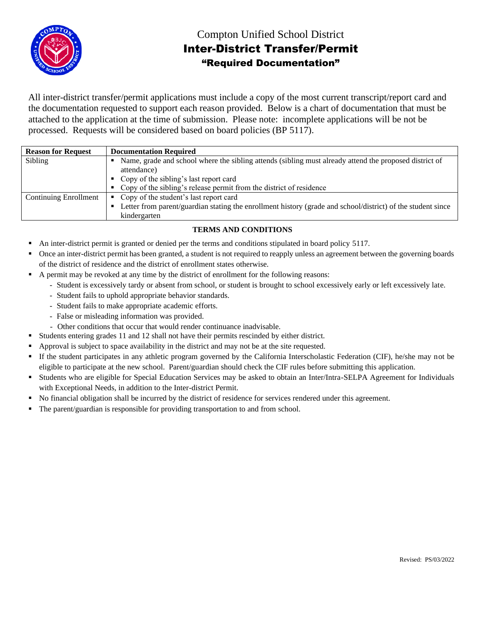

## Compton Unified School District Inter-District Transfer/Permit "Required Documentation"

All inter-district transfer/permit applications must include a copy of the most current transcript/report card and the documentation requested to support each reason provided. Below is a chart of documentation that must be attached to the application at the time of submission. Please note: incomplete applications will be not be processed. Requests will be considered based on board policies (BP 5117).

| <b>Reason for Request</b>    | <b>Documentation Required</b>                                                                               |
|------------------------------|-------------------------------------------------------------------------------------------------------------|
| Sibling                      | Name, grade and school where the sibling attends (sibling must already attend the proposed district of      |
|                              | attendance)                                                                                                 |
|                              | Copy of the sibling's last report card                                                                      |
|                              | • Copy of the sibling's release permit from the district of residence                                       |
| <b>Continuing Enrollment</b> | • Copy of the student's last report card                                                                    |
|                              | Letter from parent/guardian stating the enrollment history (grade and school/district) of the student since |
|                              | kindergarten                                                                                                |

#### **TERMS AND CONDITIONS**

- An inter-district permit is granted or denied per the terms and conditions stipulated in board policy 5117.
- Once an inter-district permit has been granted, a student is not required to reapply unless an agreement between the governing boards of the district of residence and the district of enrollment states otherwise.
- A permit may be revoked at any time by the district of enrollment for the following reasons:
	- Student is excessively tardy or absent from school, or student is brought to school excessively early or left excessively late.
	- Student fails to uphold appropriate behavior standards.
	- Student fails to make appropriate academic efforts.
	- False or misleading information was provided.
	- Other conditions that occur that would render continuance inadvisable.
- Students entering grades 11 and 12 shall not have their permits rescinded by either district.
- Approval is subject to space availability in the district and may not be at the site requested.
- If the student participates in any athletic program governed by the California Interscholastic Federation (CIF), he/she may not be eligible to participate at the new school. Parent/guardian should check the CIF rules before submitting this application.
- Students who are eligible for Special Education Services may be asked to obtain an Inter/Intra-SELPA Agreement for Individuals with Exceptional Needs, in addition to the Inter-district Permit.
- No financial obligation shall be incurred by the district of residence for services rendered under this agreement.
- The parent/guardian is responsible for providing transportation to and from school.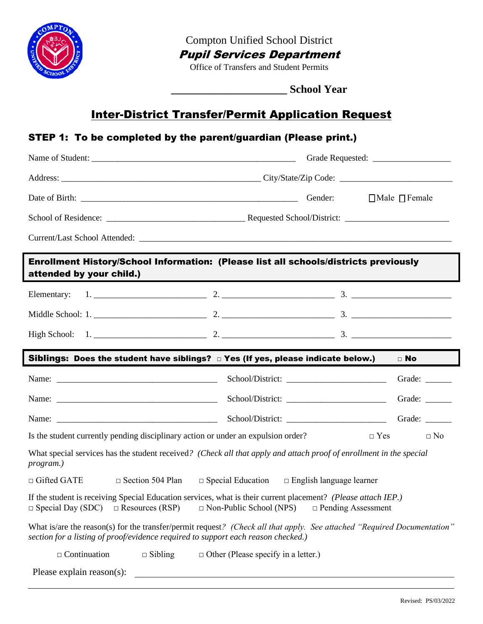

Compton Unified School District

Pupil Services Department

Office of Transfers and Student Permits

**\_\_\_\_\_\_\_\_\_\_\_\_\_\_\_\_\_\_\_\_\_ School Year**

## Inter-District Transfer/Permit Application Request

## STEP 1: To be completed by the parent/guardian (Please print.)

|                                                                                   | Gender:                                                                                                                                                                      | $\Box$ Male $\Box$ Female |  |  |  |
|-----------------------------------------------------------------------------------|------------------------------------------------------------------------------------------------------------------------------------------------------------------------------|---------------------------|--|--|--|
|                                                                                   |                                                                                                                                                                              |                           |  |  |  |
|                                                                                   |                                                                                                                                                                              |                           |  |  |  |
| attended by your child.)                                                          | Enrollment History/School Information: (Please list all schools/districts previously                                                                                         |                           |  |  |  |
|                                                                                   |                                                                                                                                                                              |                           |  |  |  |
|                                                                                   |                                                                                                                                                                              |                           |  |  |  |
|                                                                                   |                                                                                                                                                                              |                           |  |  |  |
|                                                                                   | Siblings: Does the student have siblings? $\Box$ Yes (If yes, please indicate below.) $\Box$ No                                                                              |                           |  |  |  |
|                                                                                   |                                                                                                                                                                              |                           |  |  |  |
|                                                                                   |                                                                                                                                                                              |                           |  |  |  |
|                                                                                   |                                                                                                                                                                              | Grade: ______             |  |  |  |
|                                                                                   |                                                                                                                                                                              |                           |  |  |  |
| Is the student currently pending disciplinary action or under an expulsion order? |                                                                                                                                                                              | $\Box$ Yes<br>$\Box$ No   |  |  |  |
| program.)                                                                         | What special services has the student received? (Check all that apply and attach proof of enrollment in the special                                                          |                           |  |  |  |
| $\Box$ Gifted GATE<br>$\Box$ Section 504 Plan                                     | $\Box$ Special Education $\Box$ English language learner                                                                                                                     |                           |  |  |  |
| $\Box$ Special Day (SDC)<br>$\Box$ Resources (RSP)                                | If the student is receiving Special Education services, what is their current placement? (Please attach IEP.)<br>$\Box$ Non-Public School (NPS)<br>$\Box$ Pending Assessment |                           |  |  |  |
| section for a listing of proof/evidence required to support each reason checked.) | What is/are the reason(s) for the transfer/permit request? (Check all that apply. See attached "Required Documentation"                                                      |                           |  |  |  |
| $\Box$ Continuation<br>$\Box$ Sibling                                             | $\Box$ Other (Please specify in a letter.)                                                                                                                                   |                           |  |  |  |